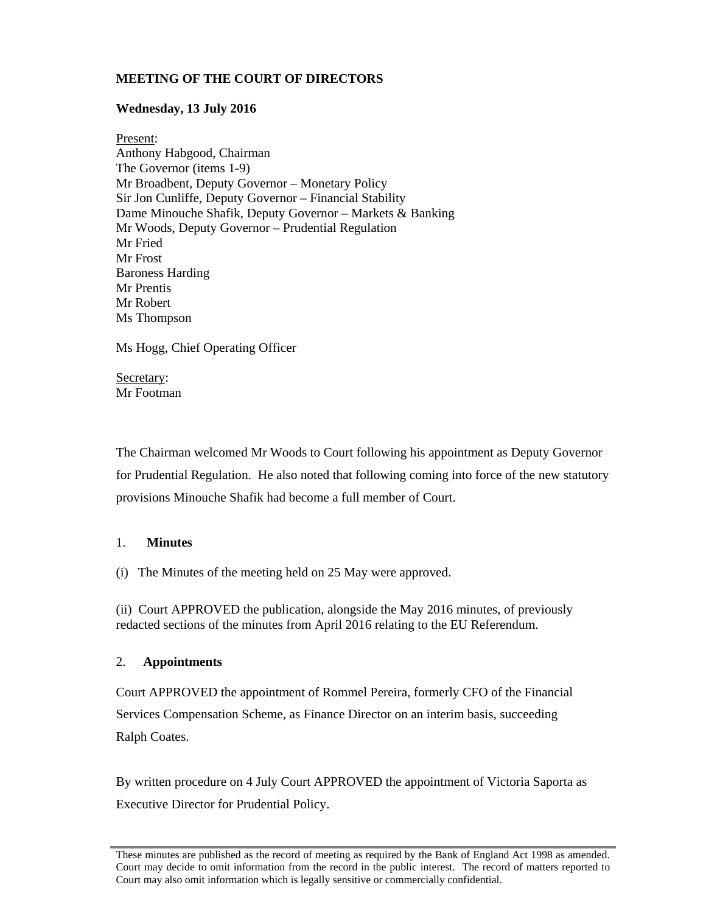# **MEETING OF THE COURT OF DIRECTORS**

## **Wednesday, 13 July 2016**

Present: Anthony Habgood, Chairman The Governor (items 1-9) Mr Broadbent, Deputy Governor – Monetary Policy Sir Jon Cunliffe, Deputy Governor – Financial Stability Dame Minouche Shafik, Deputy Governor – Markets & Banking Mr Woods, Deputy Governor – Prudential Regulation Mr Fried Mr Frost Baroness Harding Mr Prentis Mr Robert Ms Thompson

Ms Hogg, Chief Operating Officer

Secretary: Mr Footman

The Chairman welcomed Mr Woods to Court following his appointment as Deputy Governor for Prudential Regulation. He also noted that following coming into force of the new statutory provisions Minouche Shafik had become a full member of Court.

## 1. **Minutes**

(i) The Minutes of the meeting held on 25 May were approved.

(ii) Court APPROVED the publication, alongside the May 2016 minutes, of previously redacted sections of the minutes from April 2016 relating to the EU Referendum.

## 2. **Appointments**

Court APPROVED the appointment of Rommel Pereira, formerly CFO of the Financial Services Compensation Scheme, as Finance Director on an interim basis, succeeding Ralph Coates.

By written procedure on 4 July Court APPROVED the appointment of Victoria Saporta as Executive Director for Prudential Policy.

These minutes are published as the record of meeting as required by the Bank of England Act 1998 as amended. Court may decide to omit information from the record in the public interest. The record of matters reported to Court may also omit information which is legally sensitive or commercially confidential.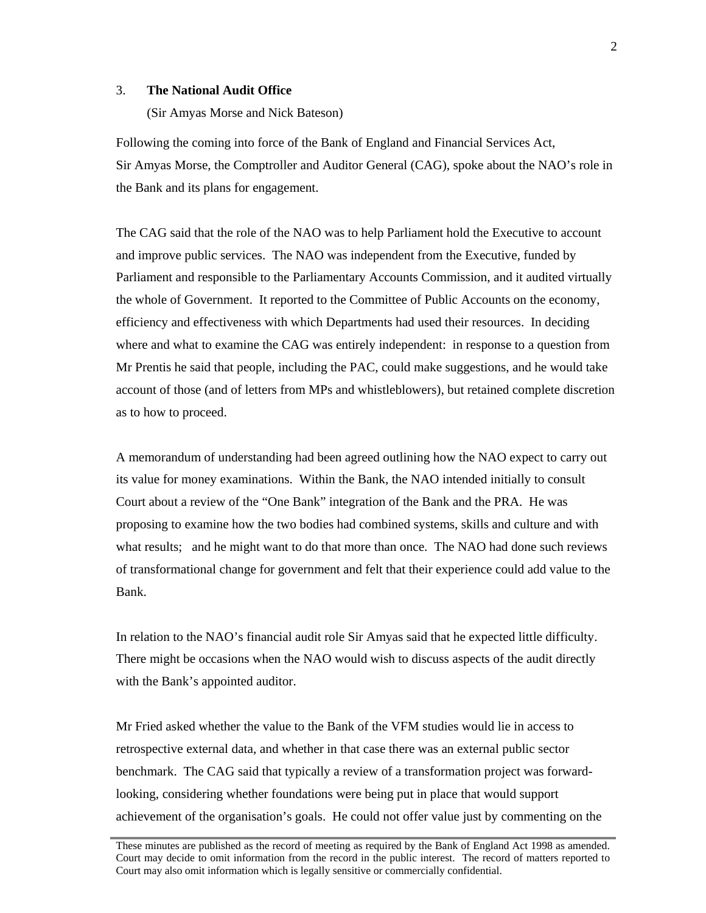## 3. **The National Audit Office**

(Sir Amyas Morse and Nick Bateson)

Following the coming into force of the Bank of England and Financial Services Act, Sir Amyas Morse, the Comptroller and Auditor General (CAG), spoke about the NAO's role in the Bank and its plans for engagement.

The CAG said that the role of the NAO was to help Parliament hold the Executive to account and improve public services. The NAO was independent from the Executive, funded by Parliament and responsible to the Parliamentary Accounts Commission, and it audited virtually the whole of Government. It reported to the Committee of Public Accounts on the economy, efficiency and effectiveness with which Departments had used their resources. In deciding where and what to examine the CAG was entirely independent: in response to a question from Mr Prentis he said that people, including the PAC, could make suggestions, and he would take account of those (and of letters from MPs and whistleblowers), but retained complete discretion as to how to proceed.

A memorandum of understanding had been agreed outlining how the NAO expect to carry out its value for money examinations. Within the Bank, the NAO intended initially to consult Court about a review of the "One Bank" integration of the Bank and the PRA. He was proposing to examine how the two bodies had combined systems, skills and culture and with what results; and he might want to do that more than once. The NAO had done such reviews of transformational change for government and felt that their experience could add value to the Bank.

In relation to the NAO's financial audit role Sir Amyas said that he expected little difficulty. There might be occasions when the NAO would wish to discuss aspects of the audit directly with the Bank's appointed auditor.

Mr Fried asked whether the value to the Bank of the VFM studies would lie in access to retrospective external data, and whether in that case there was an external public sector benchmark. The CAG said that typically a review of a transformation project was forwardlooking, considering whether foundations were being put in place that would support achievement of the organisation's goals. He could not offer value just by commenting on the

These minutes are published as the record of meeting as required by the Bank of England Act 1998 as amended. Court may decide to omit information from the record in the public interest. The record of matters reported to Court may also omit information which is legally sensitive or commercially confidential.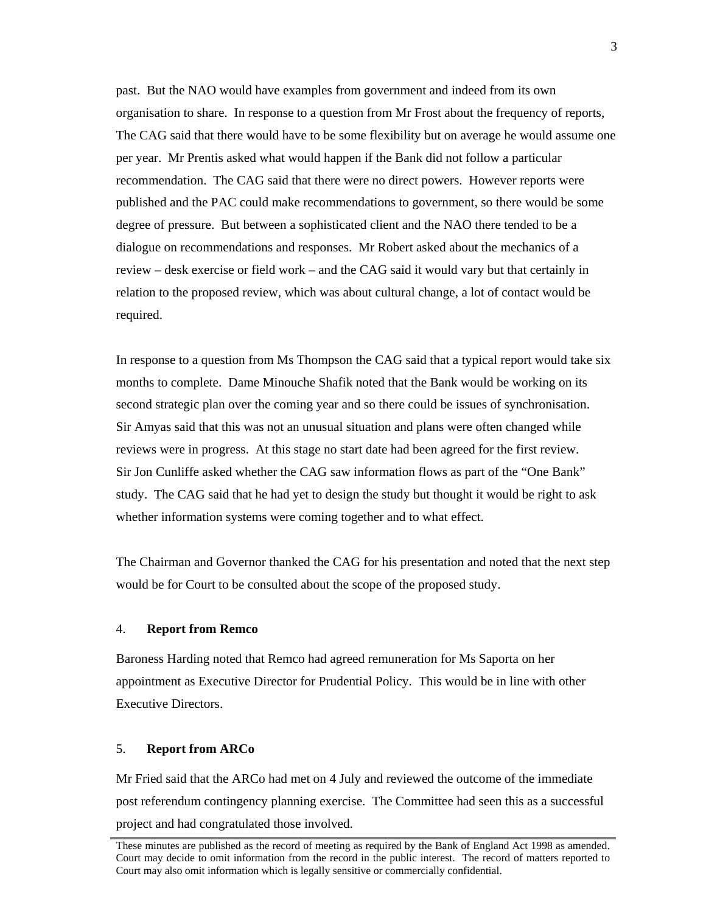past. But the NAO would have examples from government and indeed from its own organisation to share. In response to a question from Mr Frost about the frequency of reports, The CAG said that there would have to be some flexibility but on average he would assume one per year. Mr Prentis asked what would happen if the Bank did not follow a particular recommendation. The CAG said that there were no direct powers. However reports were published and the PAC could make recommendations to government, so there would be some degree of pressure. But between a sophisticated client and the NAO there tended to be a dialogue on recommendations and responses. Mr Robert asked about the mechanics of a review – desk exercise or field work – and the CAG said it would vary but that certainly in relation to the proposed review, which was about cultural change, a lot of contact would be required.

In response to a question from Ms Thompson the CAG said that a typical report would take six months to complete. Dame Minouche Shafik noted that the Bank would be working on its second strategic plan over the coming year and so there could be issues of synchronisation. Sir Amyas said that this was not an unusual situation and plans were often changed while reviews were in progress. At this stage no start date had been agreed for the first review. Sir Jon Cunliffe asked whether the CAG saw information flows as part of the "One Bank" study. The CAG said that he had yet to design the study but thought it would be right to ask whether information systems were coming together and to what effect.

The Chairman and Governor thanked the CAG for his presentation and noted that the next step would be for Court to be consulted about the scope of the proposed study.

### 4. **Report from Remco**

Baroness Harding noted that Remco had agreed remuneration for Ms Saporta on her appointment as Executive Director for Prudential Policy. This would be in line with other Executive Directors.

## 5. **Report from ARCo**

Mr Fried said that the ARCo had met on 4 July and reviewed the outcome of the immediate post referendum contingency planning exercise. The Committee had seen this as a successful project and had congratulated those involved.

These minutes are published as the record of meeting as required by the Bank of England Act 1998 as amended. Court may decide to omit information from the record in the public interest. The record of matters reported to Court may also omit information which is legally sensitive or commercially confidential.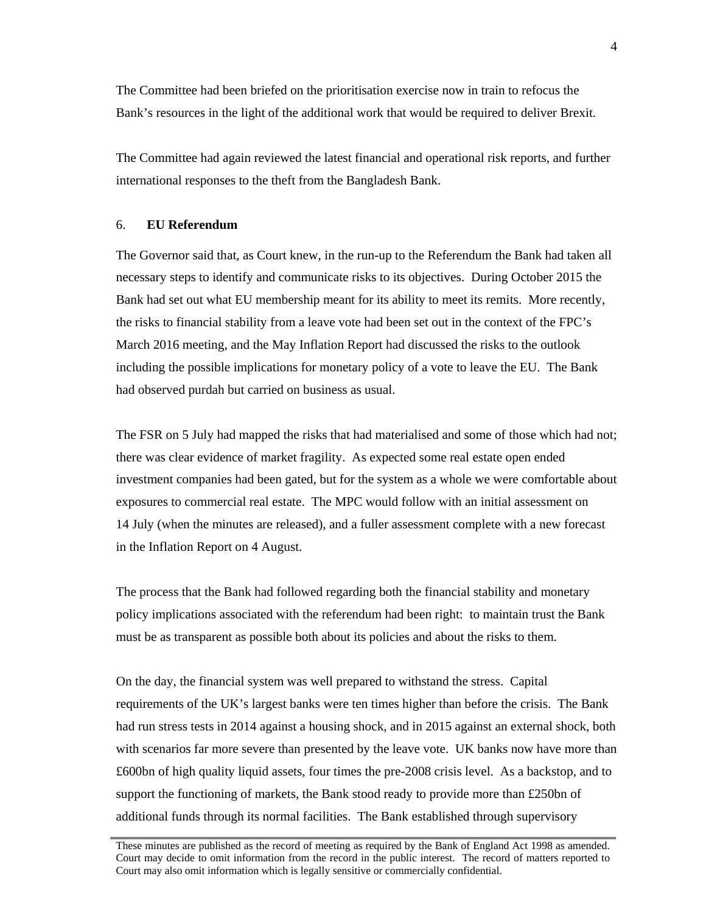The Committee had been briefed on the prioritisation exercise now in train to refocus the Bank's resources in the light of the additional work that would be required to deliver Brexit.

The Committee had again reviewed the latest financial and operational risk reports, and further international responses to the theft from the Bangladesh Bank.

#### 6. **EU Referendum**

The Governor said that, as Court knew, in the run-up to the Referendum the Bank had taken all necessary steps to identify and communicate risks to its objectives. During October 2015 the Bank had set out what EU membership meant for its ability to meet its remits. More recently, the risks to financial stability from a leave vote had been set out in the context of the FPC's March 2016 meeting, and the May Inflation Report had discussed the risks to the outlook including the possible implications for monetary policy of a vote to leave the EU. The Bank had observed purdah but carried on business as usual.

The FSR on 5 July had mapped the risks that had materialised and some of those which had not; there was clear evidence of market fragility. As expected some real estate open ended investment companies had been gated, but for the system as a whole we were comfortable about exposures to commercial real estate. The MPC would follow with an initial assessment on 14 July (when the minutes are released), and a fuller assessment complete with a new forecast in the Inflation Report on 4 August.

The process that the Bank had followed regarding both the financial stability and monetary policy implications associated with the referendum had been right: to maintain trust the Bank must be as transparent as possible both about its policies and about the risks to them.

On the day, the financial system was well prepared to withstand the stress. Capital requirements of the UK's largest banks were ten times higher than before the crisis. The Bank had run stress tests in 2014 against a housing shock, and in 2015 against an external shock, both with scenarios far more severe than presented by the leave vote. UK banks now have more than £600bn of high quality liquid assets, four times the pre-2008 crisis level. As a backstop, and to support the functioning of markets, the Bank stood ready to provide more than £250bn of additional funds through its normal facilities. The Bank established through supervisory

These minutes are published as the record of meeting as required by the Bank of England Act 1998 as amended. Court may decide to omit information from the record in the public interest. The record of matters reported to Court may also omit information which is legally sensitive or commercially confidential.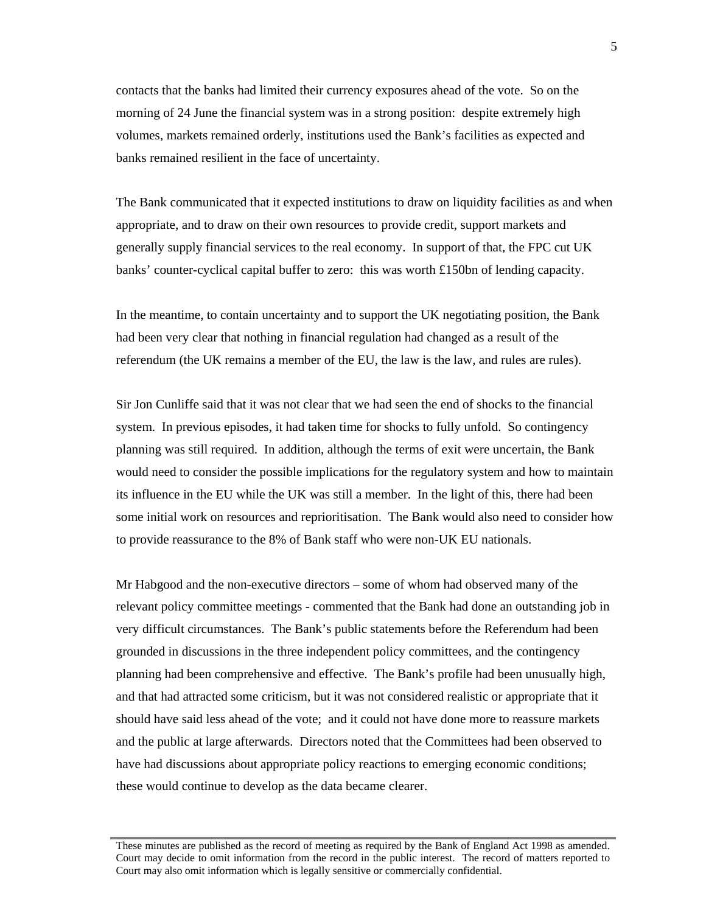contacts that the banks had limited their currency exposures ahead of the vote. So on the morning of 24 June the financial system was in a strong position: despite extremely high volumes, markets remained orderly, institutions used the Bank's facilities as expected and banks remained resilient in the face of uncertainty.

The Bank communicated that it expected institutions to draw on liquidity facilities as and when appropriate, and to draw on their own resources to provide credit, support markets and generally supply financial services to the real economy. In support of that, the FPC cut UK banks' counter-cyclical capital buffer to zero: this was worth £150bn of lending capacity.

In the meantime, to contain uncertainty and to support the UK negotiating position, the Bank had been very clear that nothing in financial regulation had changed as a result of the referendum (the UK remains a member of the EU, the law is the law, and rules are rules).

Sir Jon Cunliffe said that it was not clear that we had seen the end of shocks to the financial system. In previous episodes, it had taken time for shocks to fully unfold. So contingency planning was still required. In addition, although the terms of exit were uncertain, the Bank would need to consider the possible implications for the regulatory system and how to maintain its influence in the EU while the UK was still a member. In the light of this, there had been some initial work on resources and reprioritisation. The Bank would also need to consider how to provide reassurance to the 8% of Bank staff who were non-UK EU nationals.

Mr Habgood and the non-executive directors – some of whom had observed many of the relevant policy committee meetings - commented that the Bank had done an outstanding job in very difficult circumstances. The Bank's public statements before the Referendum had been grounded in discussions in the three independent policy committees, and the contingency planning had been comprehensive and effective. The Bank's profile had been unusually high, and that had attracted some criticism, but it was not considered realistic or appropriate that it should have said less ahead of the vote; and it could not have done more to reassure markets and the public at large afterwards. Directors noted that the Committees had been observed to have had discussions about appropriate policy reactions to emerging economic conditions; these would continue to develop as the data became clearer.

These minutes are published as the record of meeting as required by the Bank of England Act 1998 as amended. Court may decide to omit information from the record in the public interest. The record of matters reported to Court may also omit information which is legally sensitive or commercially confidential.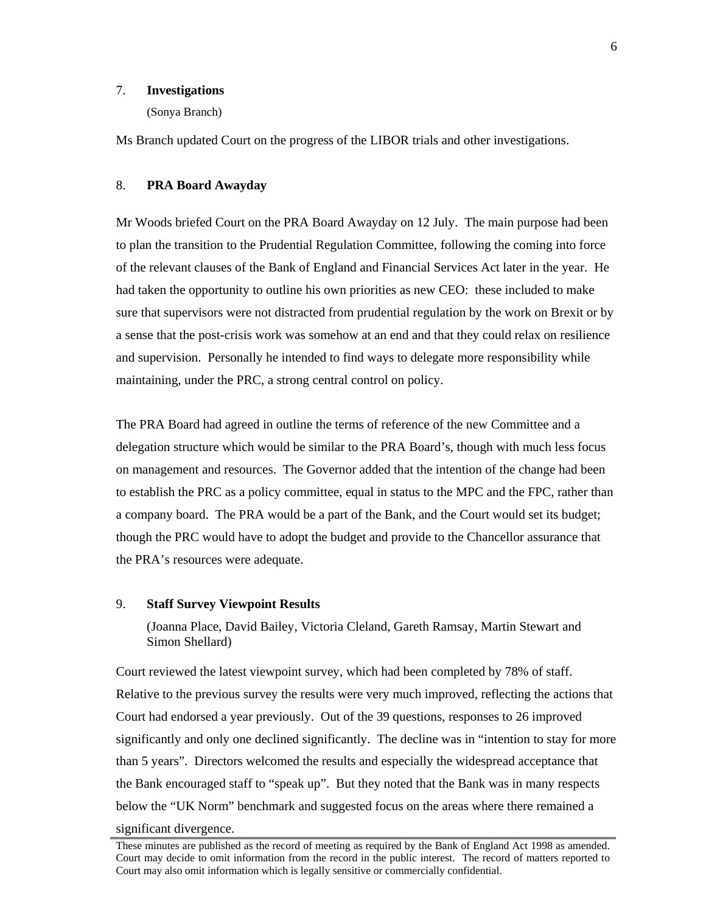## 7. **Investigations**

(Sonya Branch)

Ms Branch updated Court on the progress of the LIBOR trials and other investigations.

### 8. **PRA Board Awayday**

Mr Woods briefed Court on the PRA Board Awayday on 12 July. The main purpose had been to plan the transition to the Prudential Regulation Committee, following the coming into force of the relevant clauses of the Bank of England and Financial Services Act later in the year. He had taken the opportunity to outline his own priorities as new CEO: these included to make sure that supervisors were not distracted from prudential regulation by the work on Brexit or by a sense that the post-crisis work was somehow at an end and that they could relax on resilience and supervision. Personally he intended to find ways to delegate more responsibility while maintaining, under the PRC, a strong central control on policy.

The PRA Board had agreed in outline the terms of reference of the new Committee and a delegation structure which would be similar to the PRA Board's, though with much less focus on management and resources. The Governor added that the intention of the change had been to establish the PRC as a policy committee, equal in status to the MPC and the FPC, rather than a company board. The PRA would be a part of the Bank, and the Court would set its budget; though the PRC would have to adopt the budget and provide to the Chancellor assurance that the PRA's resources were adequate.

## 9. **Staff Survey Viewpoint Results**

(Joanna Place, David Bailey, Victoria Cleland, Gareth Ramsay, Martin Stewart and Simon Shellard)

Court reviewed the latest viewpoint survey, which had been completed by 78% of staff. Relative to the previous survey the results were very much improved, reflecting the actions that Court had endorsed a year previously. Out of the 39 questions, responses to 26 improved significantly and only one declined significantly. The decline was in "intention to stay for more than 5 years". Directors welcomed the results and especially the widespread acceptance that the Bank encouraged staff to "speak up". But they noted that the Bank was in many respects below the "UK Norm" benchmark and suggested focus on the areas where there remained a significant divergence.

These minutes are published as the record of meeting as required by the Bank of England Act 1998 as amended. Court may decide to omit information from the record in the public interest. The record of matters reported to Court may also omit information which is legally sensitive or commercially confidential.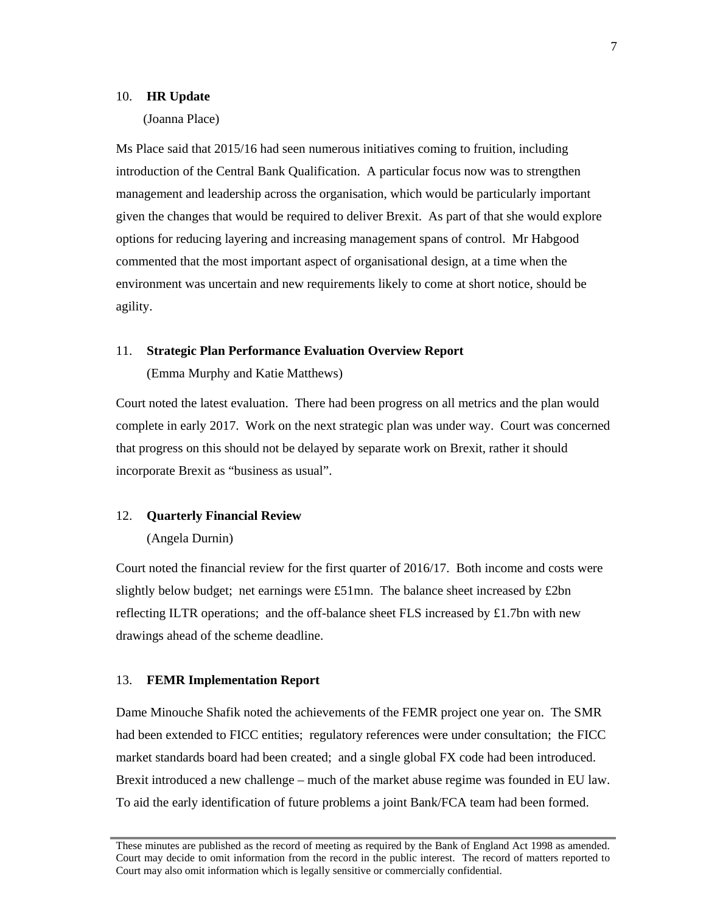#### 10. **HR Update**

### (Joanna Place)

Ms Place said that 2015/16 had seen numerous initiatives coming to fruition, including introduction of the Central Bank Qualification. A particular focus now was to strengthen management and leadership across the organisation, which would be particularly important given the changes that would be required to deliver Brexit. As part of that she would explore options for reducing layering and increasing management spans of control. Mr Habgood commented that the most important aspect of organisational design, at a time when the environment was uncertain and new requirements likely to come at short notice, should be agility.

#### 11. **Strategic Plan Performance Evaluation Overview Report**

(Emma Murphy and Katie Matthews)

Court noted the latest evaluation. There had been progress on all metrics and the plan would complete in early 2017. Work on the next strategic plan was under way. Court was concerned that progress on this should not be delayed by separate work on Brexit, rather it should incorporate Brexit as "business as usual".

### 12. **Quarterly Financial Review**

#### (Angela Durnin)

Court noted the financial review for the first quarter of 2016/17. Both income and costs were slightly below budget; net earnings were £51mn. The balance sheet increased by £2bn reflecting ILTR operations; and the off-balance sheet FLS increased by £1.7bn with new drawings ahead of the scheme deadline.

#### 13. **FEMR Implementation Report**

Dame Minouche Shafik noted the achievements of the FEMR project one year on. The SMR had been extended to FICC entities; regulatory references were under consultation; the FICC market standards board had been created; and a single global FX code had been introduced. Brexit introduced a new challenge – much of the market abuse regime was founded in EU law. To aid the early identification of future problems a joint Bank/FCA team had been formed.

These minutes are published as the record of meeting as required by the Bank of England Act 1998 as amended. Court may decide to omit information from the record in the public interest. The record of matters reported to Court may also omit information which is legally sensitive or commercially confidential.